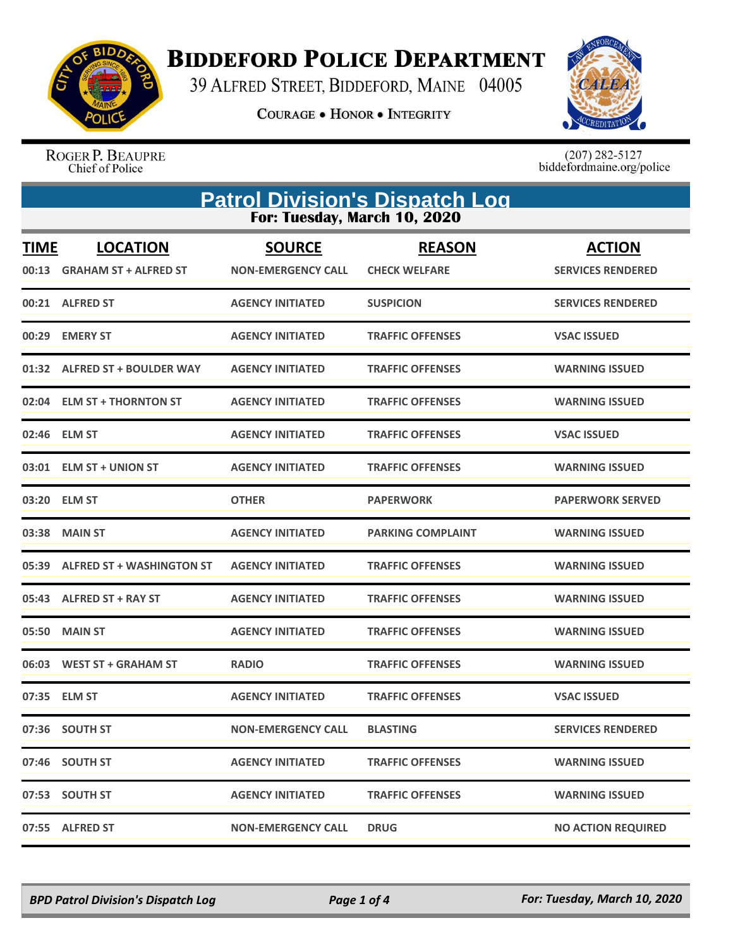

**BIDDEFORD POLICE DEPARTMENT** 

39 ALFRED STREET, BIDDEFORD, MAINE 04005

**COURAGE . HONOR . INTEGRITY** 



ROGER P. BEAUPRE<br>Chief of Police

 $(207)$  282-5127<br>biddefordmaine.org/police

| <b>Patrol Division's Dispatch Log</b><br>For: Tuesday, March 10, 2020 |                                                 |                                            |                                       |                                           |
|-----------------------------------------------------------------------|-------------------------------------------------|--------------------------------------------|---------------------------------------|-------------------------------------------|
| <b>TIME</b><br>00:13                                                  | <b>LOCATION</b><br><b>GRAHAM ST + ALFRED ST</b> | <b>SOURCE</b><br><b>NON-EMERGENCY CALL</b> | <b>REASON</b><br><b>CHECK WELFARE</b> | <b>ACTION</b><br><b>SERVICES RENDERED</b> |
|                                                                       | 00:21 ALFRED ST                                 | <b>AGENCY INITIATED</b>                    | <b>SUSPICION</b>                      | <b>SERVICES RENDERED</b>                  |
| 00:29                                                                 | <b>EMERY ST</b>                                 | <b>AGENCY INITIATED</b>                    | <b>TRAFFIC OFFENSES</b>               | <b>VSAC ISSUED</b>                        |
|                                                                       | 01:32 ALFRED ST + BOULDER WAY                   | <b>AGENCY INITIATED</b>                    | <b>TRAFFIC OFFENSES</b>               | <b>WARNING ISSUED</b>                     |
|                                                                       | 02:04 ELM ST + THORNTON ST                      | <b>AGENCY INITIATED</b>                    | <b>TRAFFIC OFFENSES</b>               | <b>WARNING ISSUED</b>                     |
|                                                                       | 02:46 ELM ST                                    | <b>AGENCY INITIATED</b>                    | <b>TRAFFIC OFFENSES</b>               | <b>VSAC ISSUED</b>                        |
|                                                                       | 03:01 ELM ST + UNION ST                         | <b>AGENCY INITIATED</b>                    | <b>TRAFFIC OFFENSES</b>               | <b>WARNING ISSUED</b>                     |
|                                                                       | 03:20 ELM ST                                    | <b>OTHER</b>                               | <b>PAPERWORK</b>                      | <b>PAPERWORK SERVED</b>                   |
|                                                                       | 03:38 MAIN ST                                   | <b>AGENCY INITIATED</b>                    | <b>PARKING COMPLAINT</b>              | <b>WARNING ISSUED</b>                     |
| 05:39                                                                 | <b>ALFRED ST + WASHINGTON ST</b>                | <b>AGENCY INITIATED</b>                    | <b>TRAFFIC OFFENSES</b>               | <b>WARNING ISSUED</b>                     |
|                                                                       | 05:43 ALFRED ST + RAY ST                        | <b>AGENCY INITIATED</b>                    | <b>TRAFFIC OFFENSES</b>               | <b>WARNING ISSUED</b>                     |
| 05:50                                                                 | <b>MAIN ST</b>                                  | <b>AGENCY INITIATED</b>                    | <b>TRAFFIC OFFENSES</b>               | <b>WARNING ISSUED</b>                     |
|                                                                       | 06:03 WEST ST + GRAHAM ST                       | <b>RADIO</b>                               | <b>TRAFFIC OFFENSES</b>               | <b>WARNING ISSUED</b>                     |
|                                                                       | 07:35 ELM ST                                    | <b>AGENCY INITIATED</b>                    | <b>TRAFFIC OFFENSES</b>               | <b>VSAC ISSUED</b>                        |
|                                                                       | 07:36 SOUTH ST                                  | <b>NON-EMERGENCY CALL</b>                  | <b>BLASTING</b>                       | <b>SERVICES RENDERED</b>                  |
|                                                                       | 07:46 SOUTH ST                                  | <b>AGENCY INITIATED</b>                    | <b>TRAFFIC OFFENSES</b>               | <b>WARNING ISSUED</b>                     |
|                                                                       | 07:53 SOUTH ST                                  | <b>AGENCY INITIATED</b>                    | <b>TRAFFIC OFFENSES</b>               | <b>WARNING ISSUED</b>                     |
| 07:55                                                                 | <b>ALFRED ST</b>                                | <b>NON-EMERGENCY CALL</b>                  | <b>DRUG</b>                           | <b>NO ACTION REQUIRED</b>                 |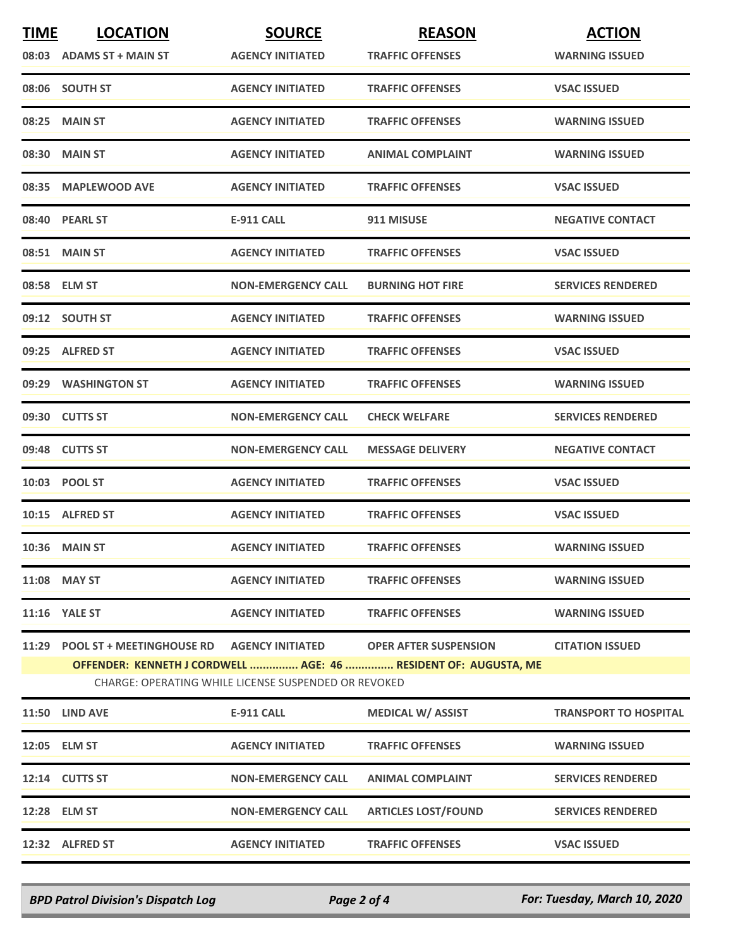| <b>TIME</b> | <b>LOCATION</b>                                                                                                         | <b>SOURCE</b>             | <b>REASON</b>                | <b>ACTION</b>                |  |  |
|-------------|-------------------------------------------------------------------------------------------------------------------------|---------------------------|------------------------------|------------------------------|--|--|
|             | 08:03 ADAMS ST + MAIN ST                                                                                                | <b>AGENCY INITIATED</b>   | <b>TRAFFIC OFFENSES</b>      | <b>WARNING ISSUED</b>        |  |  |
|             | 08:06 SOUTH ST                                                                                                          | <b>AGENCY INITIATED</b>   | <b>TRAFFIC OFFENSES</b>      | <b>VSAC ISSUED</b>           |  |  |
| 08:25       | <b>MAIN ST</b>                                                                                                          | <b>AGENCY INITIATED</b>   | <b>TRAFFIC OFFENSES</b>      | <b>WARNING ISSUED</b>        |  |  |
|             | 08:30 MAIN ST                                                                                                           | <b>AGENCY INITIATED</b>   | <b>ANIMAL COMPLAINT</b>      | <b>WARNING ISSUED</b>        |  |  |
|             | 08:35 MAPLEWOOD AVE                                                                                                     | <b>AGENCY INITIATED</b>   | <b>TRAFFIC OFFENSES</b>      | <b>VSAC ISSUED</b>           |  |  |
|             | 08:40 PEARL ST                                                                                                          | <b>E-911 CALL</b>         | 911 MISUSE                   | <b>NEGATIVE CONTACT</b>      |  |  |
|             | 08:51 MAIN ST                                                                                                           | <b>AGENCY INITIATED</b>   | <b>TRAFFIC OFFENSES</b>      | <b>VSAC ISSUED</b>           |  |  |
|             | 08:58 ELM ST                                                                                                            | <b>NON-EMERGENCY CALL</b> | <b>BURNING HOT FIRE</b>      | <b>SERVICES RENDERED</b>     |  |  |
|             | 09:12 SOUTH ST                                                                                                          | <b>AGENCY INITIATED</b>   | <b>TRAFFIC OFFENSES</b>      | <b>WARNING ISSUED</b>        |  |  |
|             | 09:25 ALFRED ST                                                                                                         | <b>AGENCY INITIATED</b>   | <b>TRAFFIC OFFENSES</b>      | <b>VSAC ISSUED</b>           |  |  |
|             | 09:29 WASHINGTON ST                                                                                                     | <b>AGENCY INITIATED</b>   | <b>TRAFFIC OFFENSES</b>      | <b>WARNING ISSUED</b>        |  |  |
|             | 09:30 CUTTS ST                                                                                                          | <b>NON-EMERGENCY CALL</b> | <b>CHECK WELFARE</b>         | <b>SERVICES RENDERED</b>     |  |  |
|             | 09:48 CUTTS ST                                                                                                          | <b>NON-EMERGENCY CALL</b> | <b>MESSAGE DELIVERY</b>      | <b>NEGATIVE CONTACT</b>      |  |  |
|             | 10:03 POOL ST                                                                                                           | <b>AGENCY INITIATED</b>   | <b>TRAFFIC OFFENSES</b>      | <b>VSAC ISSUED</b>           |  |  |
|             | 10:15 ALFRED ST                                                                                                         | <b>AGENCY INITIATED</b>   | <b>TRAFFIC OFFENSES</b>      | <b>VSAC ISSUED</b>           |  |  |
|             | <b>10:36 MAIN ST</b>                                                                                                    | <b>AGENCY INITIATED</b>   | <b>TRAFFIC OFFENSES</b>      | <b>WARNING ISSUED</b>        |  |  |
|             | 11:08 MAY ST                                                                                                            | <b>AGENCY INITIATED</b>   | <b>TRAFFIC OFFENSES</b>      | <b>WARNING ISSUED</b>        |  |  |
|             | 11:16 YALE ST                                                                                                           | <b>AGENCY INITIATED</b>   | <b>TRAFFIC OFFENSES</b>      | <b>WARNING ISSUED</b>        |  |  |
|             | 11:29 POOL ST + MEETINGHOUSE RD                                                                                         | <b>AGENCY INITIATED</b>   | <b>OPER AFTER SUSPENSION</b> | <b>CITATION ISSUED</b>       |  |  |
|             | OFFENDER: KENNETH J CORDWELL  AGE: 46  RESIDENT OF: AUGUSTA, ME<br>CHARGE: OPERATING WHILE LICENSE SUSPENDED OR REVOKED |                           |                              |                              |  |  |
|             | 11:50 LIND AVE                                                                                                          | <b>E-911 CALL</b>         | <b>MEDICAL W/ ASSIST</b>     | <b>TRANSPORT TO HOSPITAL</b> |  |  |
|             | 12:05 ELM ST                                                                                                            | <b>AGENCY INITIATED</b>   | <b>TRAFFIC OFFENSES</b>      | <b>WARNING ISSUED</b>        |  |  |
|             | 12:14 CUTTS ST                                                                                                          | <b>NON-EMERGENCY CALL</b> | <b>ANIMAL COMPLAINT</b>      | <b>SERVICES RENDERED</b>     |  |  |
|             | 12:28 ELM ST                                                                                                            | <b>NON-EMERGENCY CALL</b> | <b>ARTICLES LOST/FOUND</b>   | <b>SERVICES RENDERED</b>     |  |  |
|             | 12:32 ALFRED ST                                                                                                         | <b>AGENCY INITIATED</b>   | <b>TRAFFIC OFFENSES</b>      | <b>VSAC ISSUED</b>           |  |  |

*BPD Patrol Division's Dispatch Log Page 2 of 4 For: Tuesday, March 10, 2020*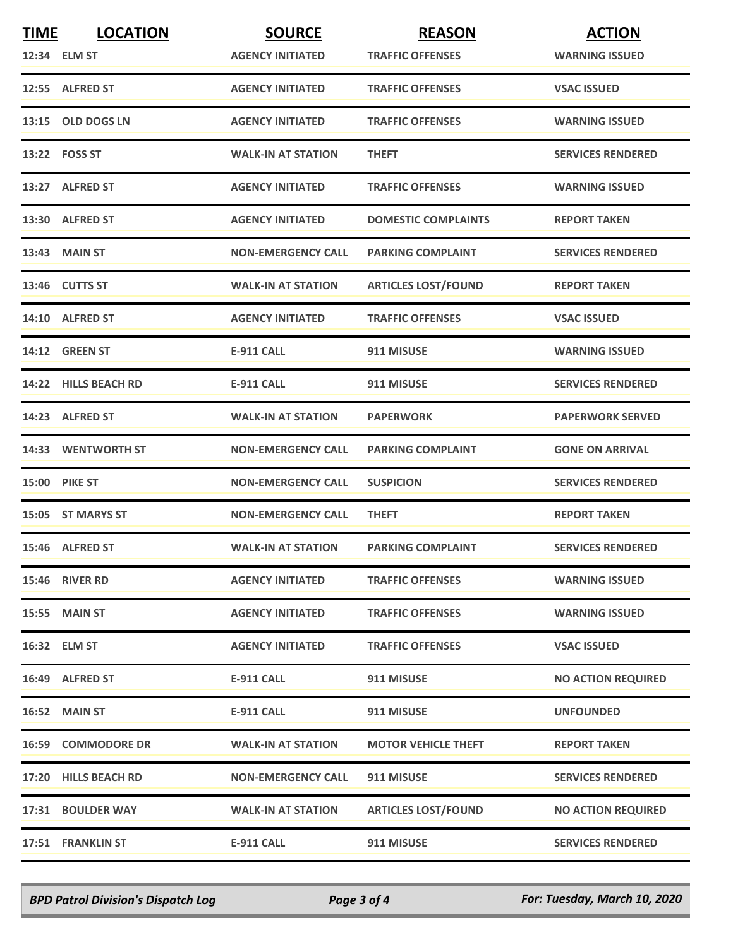| <b>TIME</b> | <b>LOCATION</b>      | <b>SOURCE</b>             | <b>REASON</b>              | <b>ACTION</b>             |
|-------------|----------------------|---------------------------|----------------------------|---------------------------|
|             | 12:34 ELM ST         | <b>AGENCY INITIATED</b>   | <b>TRAFFIC OFFENSES</b>    | <b>WARNING ISSUED</b>     |
|             | 12:55 ALFRED ST      | <b>AGENCY INITIATED</b>   | <b>TRAFFIC OFFENSES</b>    | <b>VSAC ISSUED</b>        |
|             | 13:15 OLD DOGS LN    | <b>AGENCY INITIATED</b>   | <b>TRAFFIC OFFENSES</b>    | <b>WARNING ISSUED</b>     |
|             | 13:22 FOSS ST        | <b>WALK-IN AT STATION</b> | <b>THEFT</b>               | <b>SERVICES RENDERED</b>  |
|             | 13:27 ALFRED ST      | <b>AGENCY INITIATED</b>   | <b>TRAFFIC OFFENSES</b>    | <b>WARNING ISSUED</b>     |
|             | 13:30 ALFRED ST      | <b>AGENCY INITIATED</b>   | <b>DOMESTIC COMPLAINTS</b> | <b>REPORT TAKEN</b>       |
|             | 13:43 MAIN ST        | <b>NON-EMERGENCY CALL</b> | <b>PARKING COMPLAINT</b>   | <b>SERVICES RENDERED</b>  |
|             | 13:46 CUTTS ST       | <b>WALK-IN AT STATION</b> | <b>ARTICLES LOST/FOUND</b> | <b>REPORT TAKEN</b>       |
|             | 14:10 ALFRED ST      | <b>AGENCY INITIATED</b>   | <b>TRAFFIC OFFENSES</b>    | <b>VSAC ISSUED</b>        |
|             | 14:12 GREEN ST       | <b>E-911 CALL</b>         | 911 MISUSE                 | <b>WARNING ISSUED</b>     |
|             | 14:22 HILLS BEACH RD | <b>E-911 CALL</b>         | 911 MISUSE                 | <b>SERVICES RENDERED</b>  |
|             | 14:23 ALFRED ST      | <b>WALK-IN AT STATION</b> | <b>PAPERWORK</b>           | <b>PAPERWORK SERVED</b>   |
|             | 14:33 WENTWORTH ST   | <b>NON-EMERGENCY CALL</b> | <b>PARKING COMPLAINT</b>   | <b>GONE ON ARRIVAL</b>    |
|             | <b>15:00 PIKE ST</b> | <b>NON-EMERGENCY CALL</b> | <b>SUSPICION</b>           | <b>SERVICES RENDERED</b>  |
|             | 15:05 ST MARYS ST    | <b>NON-EMERGENCY CALL</b> | <b>THEFT</b>               | <b>REPORT TAKEN</b>       |
|             | 15:46 ALFRED ST      | <b>WALK-IN AT STATION</b> | <b>PARKING COMPLAINT</b>   | <b>SERVICES RENDERED</b>  |
|             | 15:46 RIVER RD       | <b>AGENCY INITIATED</b>   | <b>TRAFFIC OFFENSES</b>    | <b>WARNING ISSUED</b>     |
|             | <b>15:55 MAIN ST</b> | <b>AGENCY INITIATED</b>   | <b>TRAFFIC OFFENSES</b>    | <b>WARNING ISSUED</b>     |
|             | 16:32 ELM ST         | <b>AGENCY INITIATED</b>   | <b>TRAFFIC OFFENSES</b>    | <b>VSAC ISSUED</b>        |
|             | 16:49 ALFRED ST      | <b>E-911 CALL</b>         | 911 MISUSE                 | <b>NO ACTION REQUIRED</b> |
|             | 16:52 MAIN ST        | <b>E-911 CALL</b>         | 911 MISUSE                 | <b>UNFOUNDED</b>          |
|             | 16:59 COMMODORE DR   | <b>WALK-IN AT STATION</b> | <b>MOTOR VEHICLE THEFT</b> | <b>REPORT TAKEN</b>       |
|             | 17:20 HILLS BEACH RD | <b>NON-EMERGENCY CALL</b> | 911 MISUSE                 | <b>SERVICES RENDERED</b>  |
|             | 17:31 BOULDER WAY    | <b>WALK-IN AT STATION</b> | <b>ARTICLES LOST/FOUND</b> | <b>NO ACTION REQUIRED</b> |
|             | 17:51 FRANKLIN ST    | <b>E-911 CALL</b>         | 911 MISUSE                 | <b>SERVICES RENDERED</b>  |

*BPD Patrol Division's Dispatch Log Page 3 of 4 For: Tuesday, March 10, 2020*